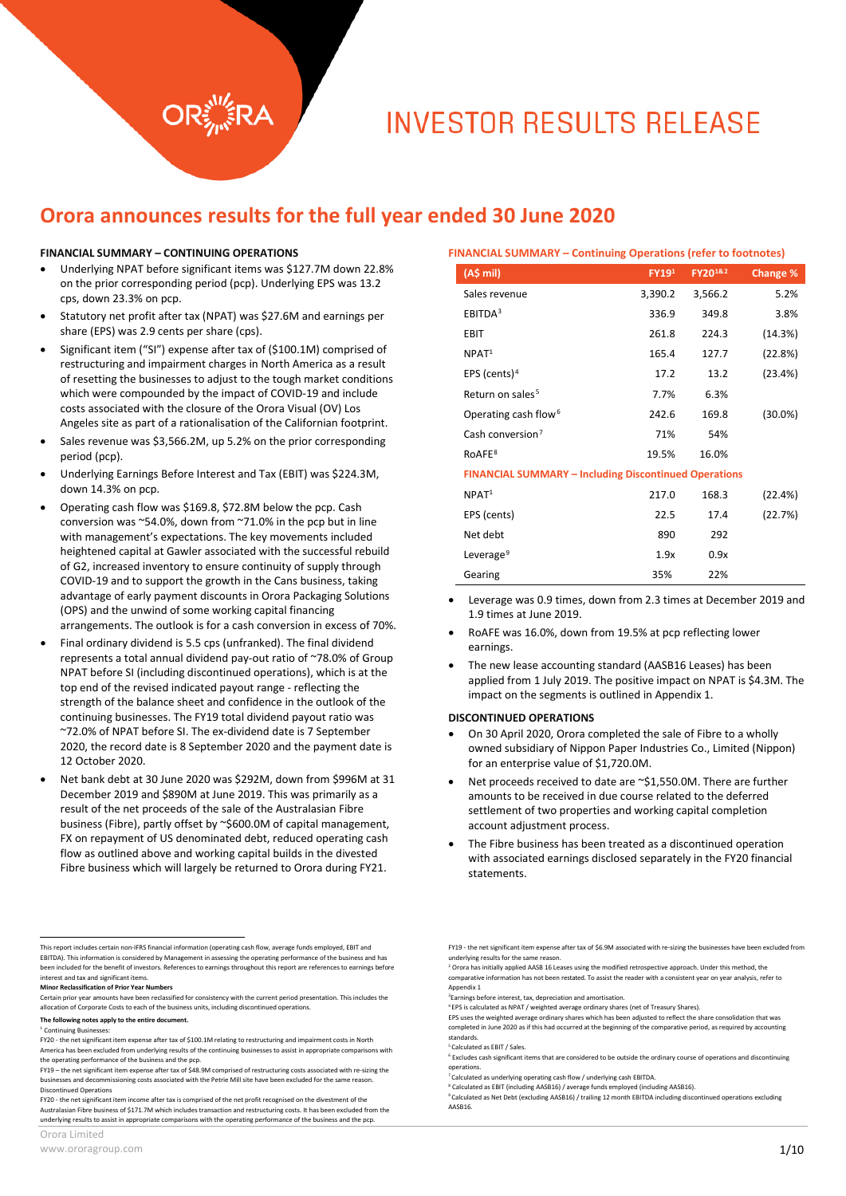# **INVESTOR RESULTS RELEASE**

# **Orora announces results for the full year ended 30 June 2020**

#### **FINANCIAL SUMMARY – CONTINUING OPERATIONS**

- Underlying NPAT before significant items was \$127.7M down 22.8% on the prior corresponding period (pcp). Underlying EPS was 13.2 cps, down 23.3% on pcp.
- Statutory net profit after tax (NPAT) was \$27.6M and earnings per share (EPS) was 2.9 cents per share (cps).
- Significant item ("SI") expense after tax of (\$100.1M) comprised of restructuring and impairment charges in North America as a result of resetting the businesses to adjust to the tough market conditions which were compounded by the impact of COVID-19 and include costs associated with the closure of the Orora Visual (OV) Los Angeles site as part of a rationalisation of the Californian footprint.
- Sales revenue was \$3,566.2M, up 5.2% on the prior corresponding period (pcp).
- Underlying Earnings Before Interest and Tax (EBIT) was \$224.3M, down 14.3% on pcp.
- Operating cash flow was \$169.8, \$72.8M below the pcp. Cash conversion was ~54.0%, down from ~71.0% in the pcp but in line with management's expectations. The key movements included heightened capital at Gawler associated with the successful rebuild of G2, increased inventory to ensure continuity of supply through COVID-19 and to support the growth in the Cans business, taking advantage of early payment discounts in Orora Packaging Solutions (OPS) and the unwind of some working capital financing arrangements. The outlook is for a cash conversion in excess of 70%.
- Final ordinary dividend is 5.5 cps (unfranked). The final dividend represents a total annual dividend pay-out ratio of ~78.0% of Group NPAT before SI (including discontinued operations), which is at the top end of the revised indicated payout range - reflecting the strength of the balance sheet and confidence in the outlook of the continuing businesses. The FY19 total dividend payout ratio was ~72.0% of NPAT before SI. The ex-dividend date is 7 September 2020, the record date is 8 September 2020 and the payment date is 12 October 2020.
- Net bank debt at 30 June 2020 was \$292M, down from \$996M at 31 December 2019 and \$890M at June 2019. This was primarily as a result of the net proceeds of the sale of the Australasian Fibre business (Fibre), partly offset by ~\$600.0M of capital management, FX on repayment of US denominated debt, reduced operating cash flow as outlined above and working capital builds in the divested Fibre business which will largely be returned to Orora during FY21.

|  | www.ororagroup.com |  |
|--|--------------------|--|

| <b>FINANCIAL SUMMARY - Continuing Operations (refer to footnotes)</b> |         |                         |            |
|-----------------------------------------------------------------------|---------|-------------------------|------------|
| (A\$ mil)                                                             | FY191   | FY20 <sup>1&amp;2</sup> | Change %   |
| Sales revenue                                                         | 3,390.2 | 3,566.2                 | 5.2%       |
| EBITDA <sup>3</sup>                                                   | 336.9   | 349.8                   | 3.8%       |
| EBIT                                                                  | 261.8   | 224.3                   | (14.3%)    |
| NPAT <sup>1</sup>                                                     | 165.4   | 127.7                   | (22.8%)    |
| EPS (cents) <sup>4</sup>                                              | 17.2    | 13.2                    | (23.4%)    |
| Return on sales <sup>5</sup>                                          | 7.7%    | 6.3%                    |            |
| Operating cash flow <sup>6</sup>                                      | 242.6   | 169.8                   | $(30.0\%)$ |
| Cash conversion <sup>7</sup>                                          | 71%     | 54%                     |            |
| RoAFE <sup>8</sup>                                                    | 19.5%   | 16.0%                   |            |
| <b>FINANCIAL SUMMARY - Including Discontinued Operations</b>          |         |                         |            |
| NPAT <sup>1</sup>                                                     | 217.0   | 168.3                   | (22.4%)    |
| EPS (cents)                                                           | 22.5    | 17.4                    | (22.7%)    |
| Net debt                                                              | 890     | 292                     |            |
| Leverage <sup>9</sup>                                                 | 1.9x    | 0.9x                    |            |
| Gearing                                                               | 35%     | 22%                     |            |

- Leverage was 0.9 times, down from 2.3 times at December 2019 and 1.9 times at June 2019.
- RoAFE was 16.0%, down from 19.5% at pcp reflecting lower earnings.
- The new lease accounting standard (AASB16 Leases) has been applied from 1 July 2019. The positive impact on NPAT is \$4.3M. The impact on the segments is outlined in Appendix 1.

#### **DISCONTINUED OPERATIONS**

- On 30 April 2020, Orora completed the sale of Fibre to a wholly owned subsidiary of Nippon Paper Industries Co., Limited (Nippon) for an enterprise value of \$1,720.0M.
- Net proceeds received to date are ~\$1,550.0M. There are further amounts to be received in due course related to the deferred settlement of two properties and working capital completion account adjustment process.
- The Fibre business has been treated as a discontinued operation with associated earnings disclosed separately in the FY20 financial statements.

<span id="page-0-0"></span>This report includes certain non-IFRS financial information (operating cash flow, average funds employed, EBIT and EBITDA). This information is considered by Management in assessing the operating performance of the business and h been included for the benefit of investors. References to earnings throughout this report are references to earnings before interest and tax and significant items.

<span id="page-0-1"></span>**Minor Reclassification of Prior Year Numbers**

<span id="page-0-2"></span>Certain prior year amounts have been reclassified for consistency with the current period presentation. This includes the allocation of Corporate Costs to each of the business units, including discontinued operations.

<span id="page-0-3"></span>**The following notes apply to the entire document.**

<sup>&</sup>lt;sup>1</sup> Continuing Businesses

<span id="page-0-4"></span>FY20 - the net significant item expense after tax of \$100.1M relating to restructuring and impairment costs in North America has been excluded from underlying results of the continuing businesses to assist in appropriate comparisons with the operating performance of the business and the pcp.

<span id="page-0-6"></span><span id="page-0-5"></span>FY19 – the net significant item expense after tax of \$48.9M comprised of restructuring costs associated with re-sizing the businesses and decommissioning costs associated with the Petrie Mill site have been excluded for the same reason. Discontinued Operations

<span id="page-0-8"></span><span id="page-0-7"></span>FY20 - the net significant item income after tax is comprised of the net profit recognised on the divestment of the Australasian Fibre business of \$171.7M which includes transaction and restructuring costs. It has been excluded from the underlying results to assist in appropriate comparisons with the operating performance of the business and the pcp.

FY19 - the net significant item expense after tax of \$6.9M associated with re-sizing the businesses have been excluded from<br>underlying results for the same reason.

 $2$  Orora has initially applied AASB 16 Leases using the modified retrospective approach. Under this method, the comparative information has not been restated. To assist the reader with a consistent year on year analysis, refer to Appendix 1

<sup>3</sup> Earnings before interest, tax, depreciation and amortisation.

<sup>4</sup> EPS is calculated as NPAT / weighted average ordinary shares (net of Treasury Shares).

EPS uses the weighted average ordinary shares which has been adjusted to reflect the share consolidation that was completed in June 2020 as if this had occurred at the beginning of the comparative period, as required by accounting standards.

<sup>5</sup> Calculated as EBIT / Sales.

<sup>6</sup> Excludes cash significant items that are considered to be outside the ordinary course of operations and discontinuing operations.

<sup>&</sup>lt;sup>7</sup><br>Calculated as underlying operating cash flow / underlying cash EBITDA.

<sup>8</sup> Calculated as EBIT (including AASB16) / average funds employed (including AASB16). <sup>9</sup> Calculated as Net Debt (excluding AASB16) / trailing 12 month EBITDA including discontinued operations excluding AASB16.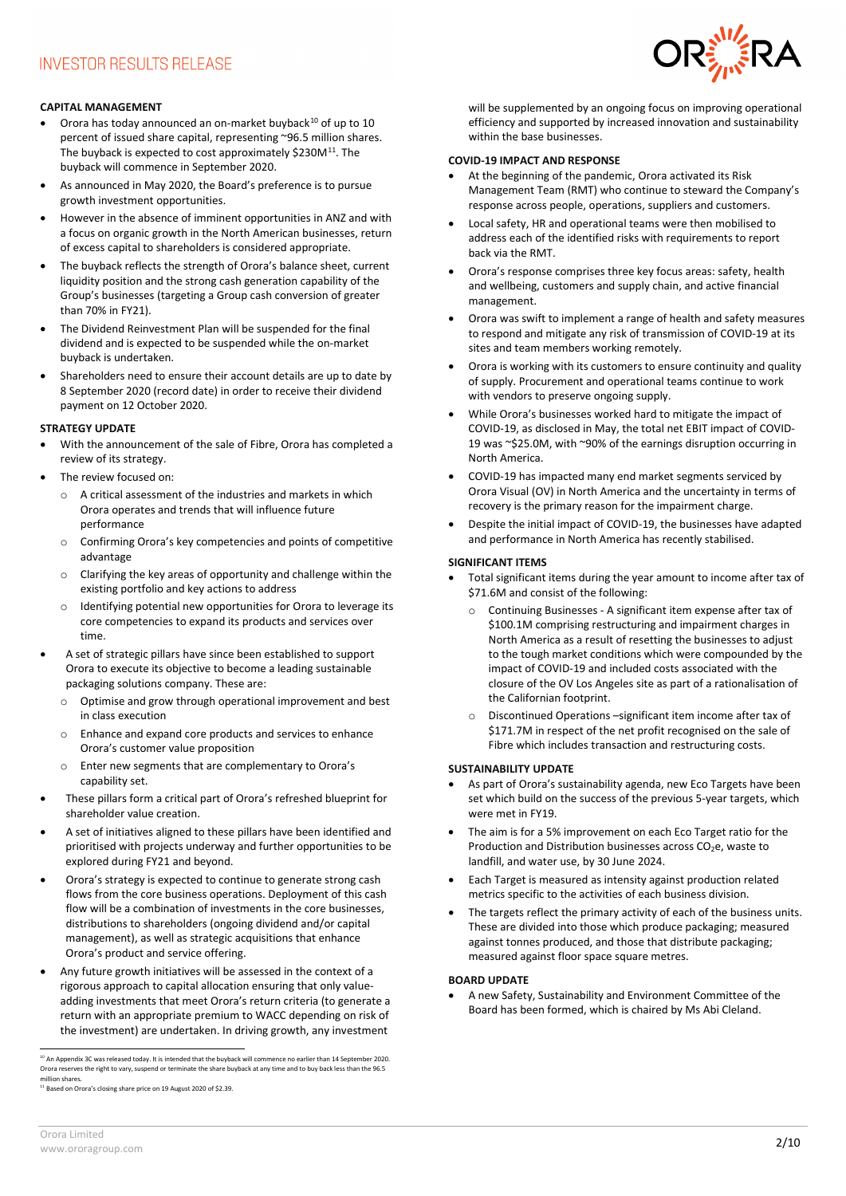

# **CAPITAL MANAGEMENT**

- Orora has today announced an on-market buyback $10$  of up to  $10$ percent of issued share capital, representing ~96.5 million shares. The buyback is expected to cost approximately \$230M<sup>[11](#page-1-1)</sup>. The buyback will commence in September 2020.
- As announced in May 2020, the Board's preference is to pursue growth investment opportunities.
- However in the absence of imminent opportunities in ANZ and with a focus on organic growth in the North American businesses, return of excess capital to shareholders is considered appropriate.
- The buyback reflects the strength of Orora's balance sheet, current liquidity position and the strong cash generation capability of the Group's businesses (targeting a Group cash conversion of greater than 70% in FY21).
- The Dividend Reinvestment Plan will be suspended for the final dividend and is expected to be suspended while the on-market buyback is undertaken.
- Shareholders need to ensure their account details are up to date by 8 September 2020 (record date) in order to receive their dividend payment on 12 October 2020.

#### **STRATEGY UPDATE**

- With the announcement of the sale of Fibre, Orora has completed a review of its strategy.
- The review focused on:
	- o A critical assessment of the industries and markets in which Orora operates and trends that will influence future performance
	- o Confirming Orora's key competencies and points of competitive advantage
	- o Clarifying the key areas of opportunity and challenge within the existing portfolio and key actions to address
	- o Identifying potential new opportunities for Orora to leverage its core competencies to expand its products and services over time.
- A set of strategic pillars have since been established to support Orora to execute its objective to become a leading sustainable packaging solutions company. These are:
	- o Optimise and grow through operational improvement and best in class execution
	- o Enhance and expand core products and services to enhance Orora's customer value proposition
	- o Enter new segments that are complementary to Orora's capability set.
- These pillars form a critical part of Orora's refreshed blueprint for shareholder value creation.
- A set of initiatives aligned to these pillars have been identified and prioritised with projects underway and further opportunities to be explored during FY21 and beyond.
- Orora's strategy is expected to continue to generate strong cash flows from the core business operations. Deployment of this cash flow will be a combination of investments in the core businesses, distributions to shareholders (ongoing dividend and/or capital management), as well as strategic acquisitions that enhance Orora's product and service offering.
- Any future growth initiatives will be assessed in the context of a rigorous approach to capital allocation ensuring that only valueadding investments that meet Orora's return criteria (to generate a return with an appropriate premium to WACC depending on risk of the investment) are undertaken. In driving growth, any investment

<span id="page-1-0"></span><sup>10</sup> An Appendix 3C was released today. It is intended that the buyback will commence no earlier than 14 September 2020.<br>Orora reserves the right to vary, suspend or terminate the share buyback at any time and to buy back million shares.

<span id="page-1-1"></span>11 Based on Orora's closing share price on 19 August 2020 of \$2.39.

will be supplemented by an ongoing focus on improving operational efficiency and supported by increased innovation and sustainability within the base businesses.

### **COVID-19 IMPACT AND RESPONSE**

- At the beginning of the pandemic, Orora activated its Risk Management Team (RMT) who continue to steward the Company's response across people, operations, suppliers and customers.
- Local safety, HR and operational teams were then mobilised to address each of the identified risks with requirements to report back via the RMT.
- Orora's response comprises three key focus areas: safety, health and wellbeing, customers and supply chain, and active financial management.
- Orora was swift to implement a range of health and safety measures to respond and mitigate any risk of transmission of COVID-19 at its sites and team members working remotely.
- Orora is working with its customers to ensure continuity and quality of supply. Procurement and operational teams continue to work with vendors to preserve ongoing supply.
- While Orora's businesses worked hard to mitigate the impact of COVID-19, as disclosed in May, the total net EBIT impact of COVID-19 was ~\$25.0M, with ~90% of the earnings disruption occurring in North America.
- COVID-19 has impacted many end market segments serviced by Orora Visual (OV) in North America and the uncertainty in terms of recovery is the primary reason for the impairment charge.
- Despite the initial impact of COVID-19, the businesses have adapted and performance in North America has recently stabilised.

#### **SIGNIFICANT ITEMS**

- Total significant items during the year amount to income after tax of \$71.6M and consist of the following:
	- o Continuing Businesses A significant item expense after tax of \$100.1M comprising restructuring and impairment charges in North America as a result of resetting the businesses to adjust to the tough market conditions which were compounded by the impact of COVID-19 and included costs associated with the closure of the OV Los Angeles site as part of a rationalisation of the Californian footprint.
	- o Discontinued Operations –significant item income after tax of \$171.7M in respect of the net profit recognised on the sale of Fibre which includes transaction and restructuring costs.

# **SUSTAINABILITY UPDATE**

- As part of Orora's sustainability agenda, new Eco Targets have been set which build on the success of the previous 5-year targets, which were met in FY19.
- The aim is for a 5% improvement on each Eco Target ratio for the Production and Distribution businesses across  $CO<sub>2</sub>e$ , waste to landfill, and water use, by 30 June 2024.
- Each Target is measured as intensity against production related metrics specific to the activities of each business division.
- The targets reflect the primary activity of each of the business units. These are divided into those which produce packaging; measured against tonnes produced, and those that distribute packaging; measured against floor space square metres.

#### **BOARD UPDATE**

• A new Safety, Sustainability and Environment Committee of the Board has been formed, which is chaired by Ms Abi Cleland.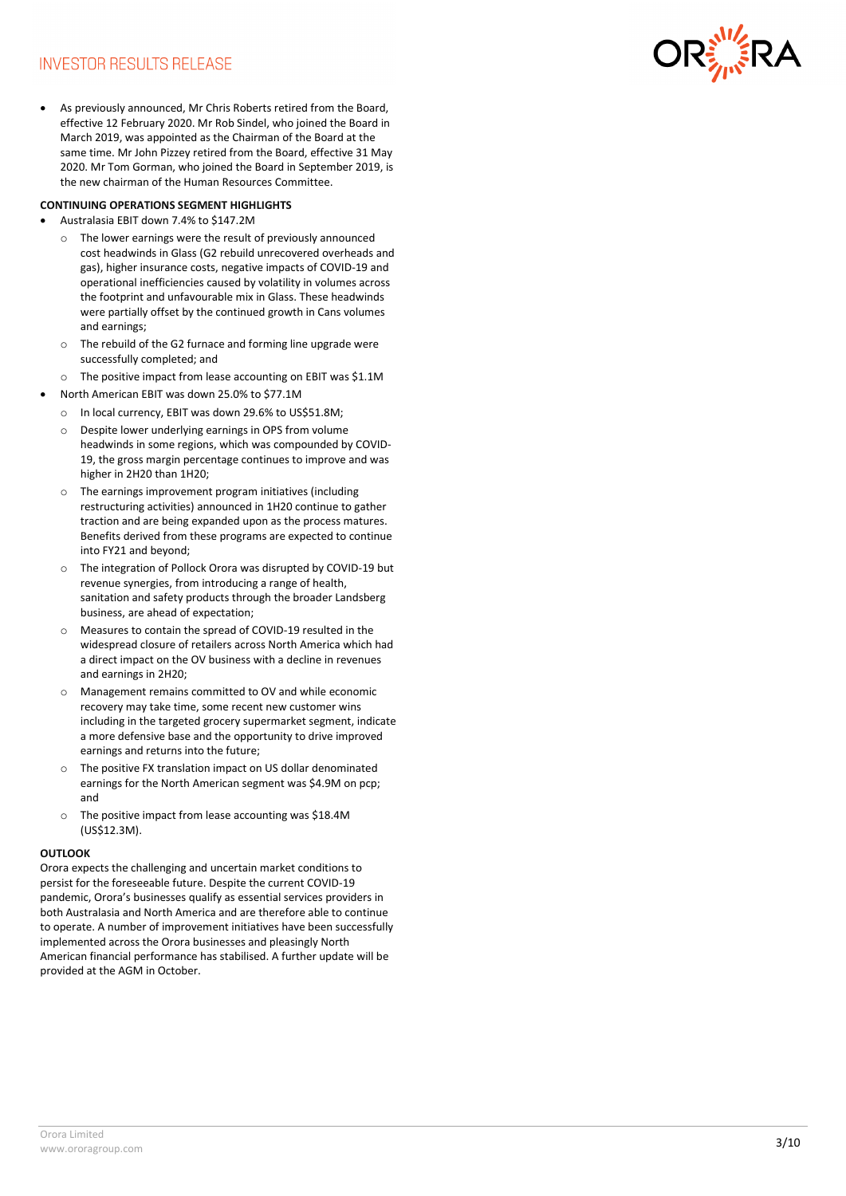# **INVESTOR RESULTS RELEASE**

effective 12 February 2020. Mr Rob Sindel, who joined the Board in March 2019 , was appointed as the Chairman of the Board at the same time. Mr John Pizzey retired from the Board, effective 31 May 2020. Mr Tom Gorman, who joined the Board in Sep tember 2019 , is the new chairman of the Human Resources Committee.

# **CONTINUING OPERATIONS SEGMENT HIGHLIGHTS**

- Australasia EBIT down 7.4% to \$147.2M
	- o The lower earnings were the result of previously announced cost headwinds in Glass (G2 rebuild unrecovered overheads and gas) , higher insurance costs, negative impacts of COVID -19 and operational inefficiencies caused by volatility in volumes across the footprint and unfavourable mix in Glass. These headwinds were partially offset by the continued growth in Cans volumes and earnings ;
	- o The rebuild of the G2 furnace and forming line upgrade were successfully completed; and
	- o The positive impact from lease accounting on EBIT was \$1.1 M
- North American EBIT was down 25.0% to \$77.1M
	- o In local currency, EBIT was down 29.6% to US\$51.8M;
	- o Despite lower underlying earnings in OPS from volume headwinds in some regions , which was compounded by COVID - 19, the gross margin percentage continues to improve and was higher in 2H20 than 1H20;
	- o The earnings improvement program initiatives (including restructuring activities) announced in 1H20 continue to gather traction and are being expanded upon as the process matures. Benefits derived from these programs are expected to continue into FY21 and beyond;
	- o The integration of Pollock Orora was disrupted by COVID -19 but revenue synergies , from introducing a range of health, sanitation and safety products through the broader Landsberg business , are ahead of expectation;
	- o Measures to contain the spread of COVID -19 resulted in the widespread closure of retailers across North America which had a direct impact on the OV business with a decline in revenues and earnings in 2H20;
	- o Management remains committed to OV and while economic recovery may take time, some recent new customer wins including in the targeted grocery supermarket segment, indicate a more defensive base and the opportunity to drive improved earnings and returns into the future;
	- o The positive FX translation impact on US dollar denominated earnings for the North American segment was \$4.9M on pcp; and
	- o The positive impact from lease accounting was \$18.4M (US\$12.3M).

# **OUTLOOK**

As previously announced, Mr Crist Roberts retired from the Board<br>contributed that the Mark and the animal of the animal of the Mark and the Mark and the Mark and the Mark and the Christian State Christmas (Although the Boa Orora expects the challenging and uncertain market conditions to persist for the foreseeable future. Despite the current COVID -19 pandemic, Orora's businesses qualify as essential services providers in both Australasia and North America and are therefore able to continue to operate. A number of improvement initiatives have been successfully implemented across the Orora businesses and pleasingly North American financial performance has stabilised. A further update will be provided at the AGM in October .

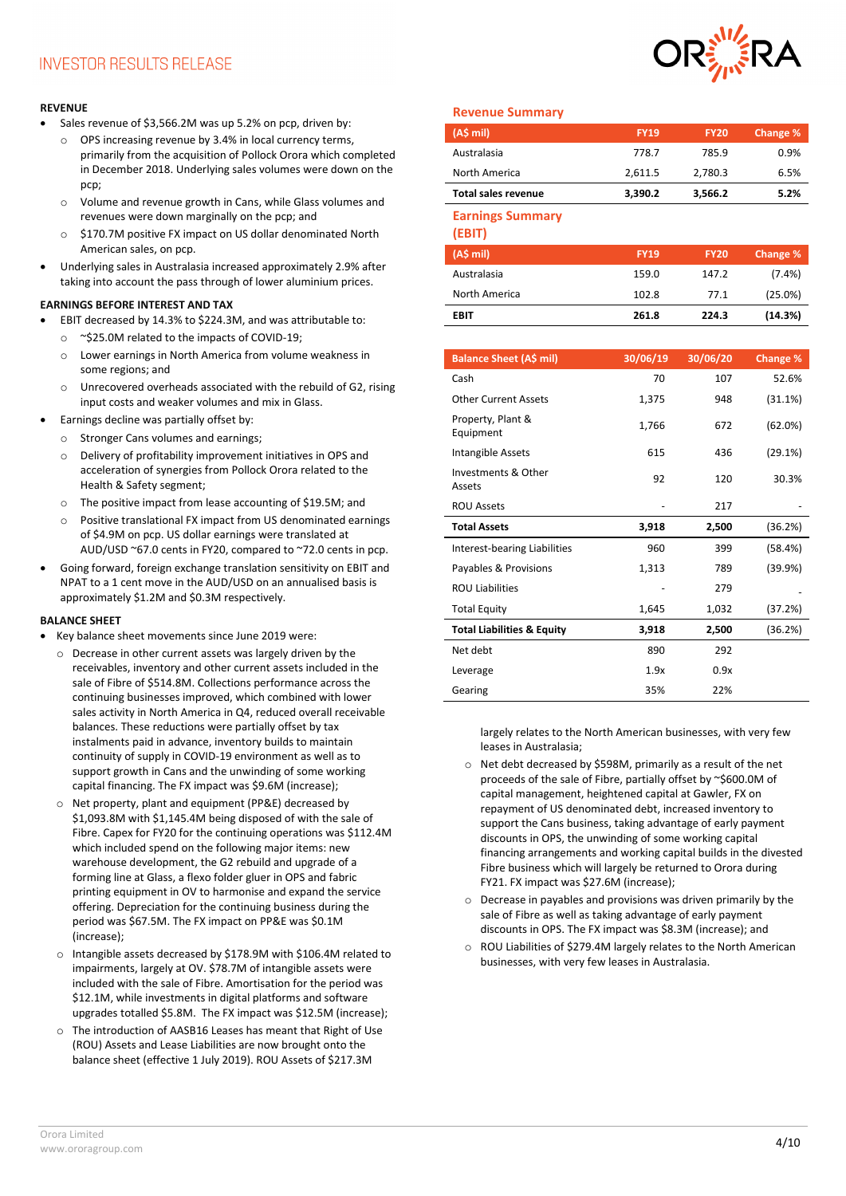# **REVENUE**

- Sales revenue of \$3,566.2M was up 5.2% on pcp, driven by:
	- o OPS increasing revenue by 3.4% in local currency terms, primarily from the acquisition of Pollock Orora which completed in December 2018. Underlying sales volumes were down on the pcp;
	- o Volume and revenue growth in Cans, while Glass volumes and revenues were down marginally on the pcp; and
	- o \$170.7M positive FX impact on US dollar denominated North American sales, on pcp.
- Underlying sales in Australasia increased approximately 2.9% after taking into account the pass through of lower aluminium prices.

# **EARNINGS BEFORE INTEREST AND TAX**

- EBIT decreased by 14.3% to \$224.3M, and was attributable to: o ~\$25.0M related to the impacts of COVID-19;
	- o Lower earnings in North America from volume weakness in some regions; and
	- o Unrecovered overheads associated with the rebuild of G2, rising input costs and weaker volumes and mix in Glass.
- Earnings decline was partially offset by:
	- o Stronger Cans volumes and earnings;
	- o Delivery of profitability improvement initiatives in OPS and acceleration of synergies from Pollock Orora related to the Health & Safety segment;
	- o The positive impact from lease accounting of \$19.5M; and
	- Positive translational FX impact from US denominated earnings of \$4.9M on pcp. US dollar earnings were translated at AUD/USD ~67.0 cents in FY20, compared to ~72.0 cents in pcp.
- Going forward, foreign exchange translation sensitivity on EBIT and NPAT to a 1 cent move in the AUD/USD on an annualised basis is approximately \$1.2M and \$0.3M respectively.

# **BALANCE SHEET**

- Key balance sheet movements since June 2019 were:
	- o Decrease in other current assets was largely driven by the receivables, inventory and other current assets included in the sale of Fibre of \$514.8M. Collections performance across the continuing businesses improved, which combined with lower sales activity in North America in Q4, reduced overall receivable balances. These reductions were partially offset by tax instalments paid in advance, inventory builds to maintain continuity of supply in COVID-19 environment as well as to support growth in Cans and the unwinding of some working capital financing. The FX impact was \$9.6M (increase);
	- o Net property, plant and equipment (PP&E) decreased by \$1,093.8M with \$1,145.4M being disposed of with the sale of Fibre. Capex for FY20 for the continuing operations was \$112.4M which included spend on the following major items: new warehouse development, the G2 rebuild and upgrade of a forming line at Glass, a flexo folder gluer in OPS and fabric printing equipment in OV to harmonise and expand the service offering. Depreciation for the continuing business during the period was \$67.5M. The FX impact on PP&E was \$0.1M (increase);
	- o Intangible assets decreased by \$178.9M with \$106.4M related to impairments, largely at OV. \$78.7M of intangible assets were included with the sale of Fibre. Amortisation for the period was \$12.1M, while investments in digital platforms and software upgrades totalled \$5.8M. The FX impact was \$12.5M (increase);
	- o The introduction of AASB16 Leases has meant that Right of Use (ROU) Assets and Lease Liabilities are now brought onto the balance sheet (effective 1 July 2019). ROU Assets of \$217.3M

# **Revenue Summary**

| (A\$ mi)                   | <b>FY19</b> | <b>FY20</b> | Change % |
|----------------------------|-------------|-------------|----------|
| Australasia                | 778.7       | 785.9       | 0.9%     |
| North America              | 2,611.5     | 2,780.3     | 6.5%     |
| <b>Total sales revenue</b> | 3,390.2     | 3,566.2     | 5.2%     |

### **Earnings Summary**

**(EBIT)**

| (A\$ mi)      | <b>FY19</b> | <b>FY20</b> | Change %  |
|---------------|-------------|-------------|-----------|
| Australasia   | 159.0       | 147.2       | $(7.4\%)$ |
| North America | 102.8       | 77.1        | (25.0%)   |
| <b>EBIT</b>   | 261.8       | 224.3       | (14.3%)   |

| <b>Balance Sheet (A\$ mil)</b>        | 30/06/19 | 30/06/20 | Change % |
|---------------------------------------|----------|----------|----------|
| Cash                                  | 70       | 107      | 52.6%    |
| <b>Other Current Assets</b>           | 1,375    | 948      | (31.1%)  |
| Property, Plant &<br>Equipment        | 1,766    | 672      | (62.0%)  |
| Intangible Assets                     | 615      | 436      | (29.1%)  |
| Investments & Other<br>Assets         | 92       | 120      | 30.3%    |
| <b>ROU Assets</b>                     |          | 217      |          |
| <b>Total Assets</b>                   | 3,918    | 2,500    | (36.2%)  |
| <b>Interest-bearing Liabilities</b>   | 960      | 399      | (58.4%)  |
| Payables & Provisions                 | 1,313    | 789      | (39.9%)  |
| <b>ROU Liabilities</b>                |          | 279      |          |
| <b>Total Equity</b>                   | 1,645    | 1,032    | (37.2%)  |
| <b>Total Liabilities &amp; Equity</b> | 3,918    | 2,500    | (36.2%)  |
| Net debt                              | 890      | 292      |          |
| Leverage                              | 1.9x     | 0.9x     |          |
| Gearing                               | 35%      | 22%      |          |

largely relates to the North American businesses, with very few leases in Australasia;

- o Net debt decreased by \$598M, primarily as a result of the net proceeds of the sale of Fibre, partially offset by ~\$600.0M of capital management, heightened capital at Gawler, FX on repayment of US denominated debt, increased inventory to support the Cans business, taking advantage of early payment discounts in OPS, the unwinding of some working capital financing arrangements and working capital builds in the divested Fibre business which will largely be returned to Orora during FY21. FX impact was \$27.6M (increase);
- Decrease in payables and provisions was driven primarily by the sale of Fibre as well as taking advantage of early payment discounts in OPS. The FX impact was \$8.3M (increase); and
- o ROU Liabilities of \$279.4M largely relates to the North American businesses, with very few leases in Australasia.

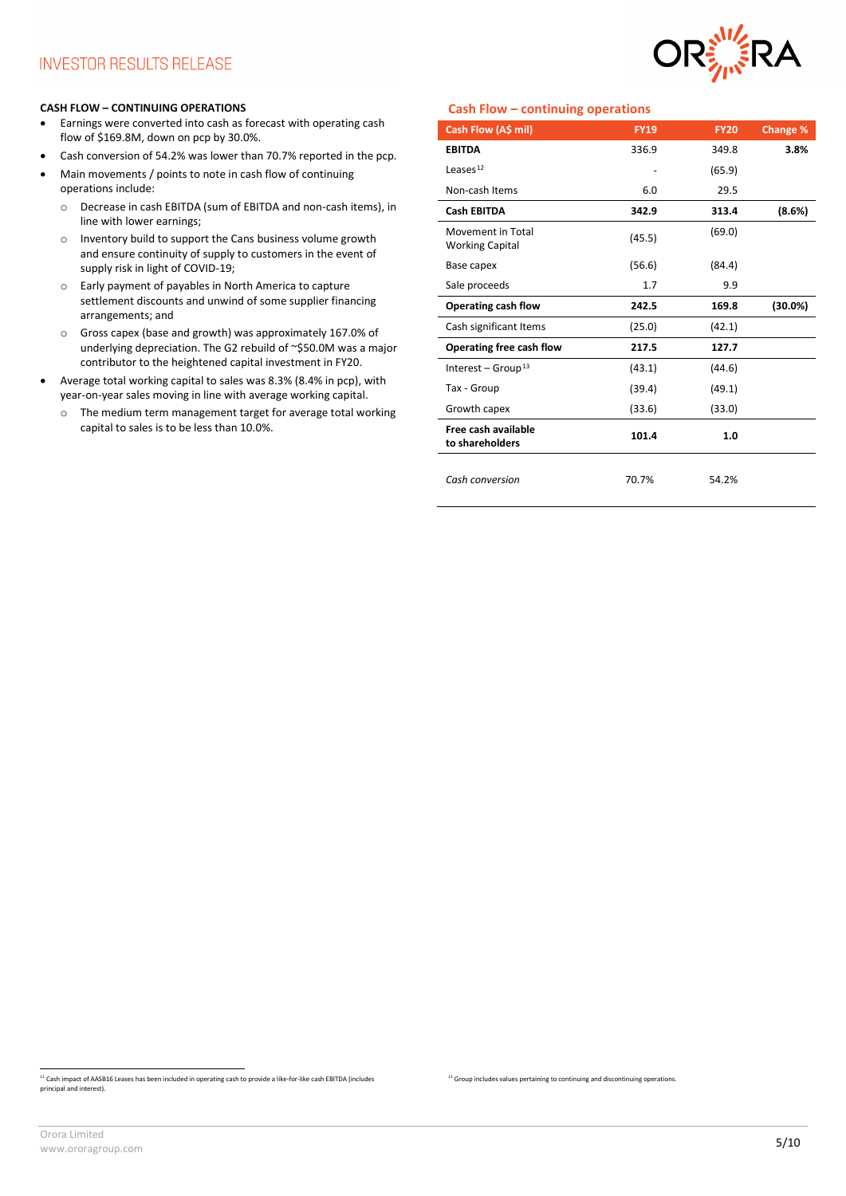

#### **CASH FLOW – CONTINUING OPERATIONS**

- Earnings were converted into cash as forecast with operating cash flow of \$169.8M, down on pcp by 30.0%.
- Cash conversion of 54.2% was lower than 70.7% reported in the pcp.
- Main movements / points to note in cash flow of continuing operations include:
	- o Decrease in cash EBITDA (sum of EBITDA and non-cash items), in line with lower earnings;
	- o Inventory build to support the Cans business volume growth and ensure continuity of supply to customers in the event of supply risk in light of COVID-19;
	- o Early payment of payables in North America to capture settlement discounts and unwind of some supplier financing arrangements; and
	- o Gross capex (base and growth) was approximately 167.0% of underlying depreciation. The G2 rebuild of ~\$50.0M was a major contributor to the heightened capital investment in FY20.
- Average total working capital to sales was 8.3% (8.4% in pcp), with year-on-year sales moving in line with average working capital.
	- o The medium term management target for average total working capital to sales is to be less than 10.0%.

# **Cash Flow – continuing operations**

<sup>13</sup> Group includes values pertaining to continuing and discontinuing operations.

| Cash Flow (A\$ mil)                         | <b>FY19</b> | <b>FY20</b> | <b>Change %</b> |
|---------------------------------------------|-------------|-------------|-----------------|
| <b>EBITDA</b>                               | 336.9       | 349.8       | 3.8%            |
| Leases $12$                                 |             | (65.9)      |                 |
| Non-cash Items                              | 6.0         | 29.5        |                 |
| <b>Cash EBITDA</b>                          | 342.9       | 313.4       | (8.6%)          |
| Movement in Total<br><b>Working Capital</b> | (45.5)      | (69.0)      |                 |
| Base capex                                  | (56.6)      | (84.4)      |                 |
| Sale proceeds                               | 1.7         | 9.9         |                 |
| Operating cash flow                         | 242.5       | 169.8       | $(30.0\%)$      |
| Cash significant Items                      | (25.0)      | (42.1)      |                 |
| Operating free cash flow                    | 217.5       | 127.7       |                 |
| Interest – Group <sup>13</sup>              | (43.1)      | (44.6)      |                 |
| Tax - Group                                 | (39.4)      | (49.1)      |                 |
| Growth capex                                | (33.6)      | (33.0)      |                 |
| Free cash available<br>to shareholders      | 101.4       | 1.0         |                 |
| Cash conversion                             | 70.7%       | 54.2%       |                 |

<span id="page-4-0"></span><sup>&</sup>lt;sup>12</sup> Cash impact of AASB16 Leases has been included in operating cash to provide a like-for-like cash EBITDA (includes principal and interest).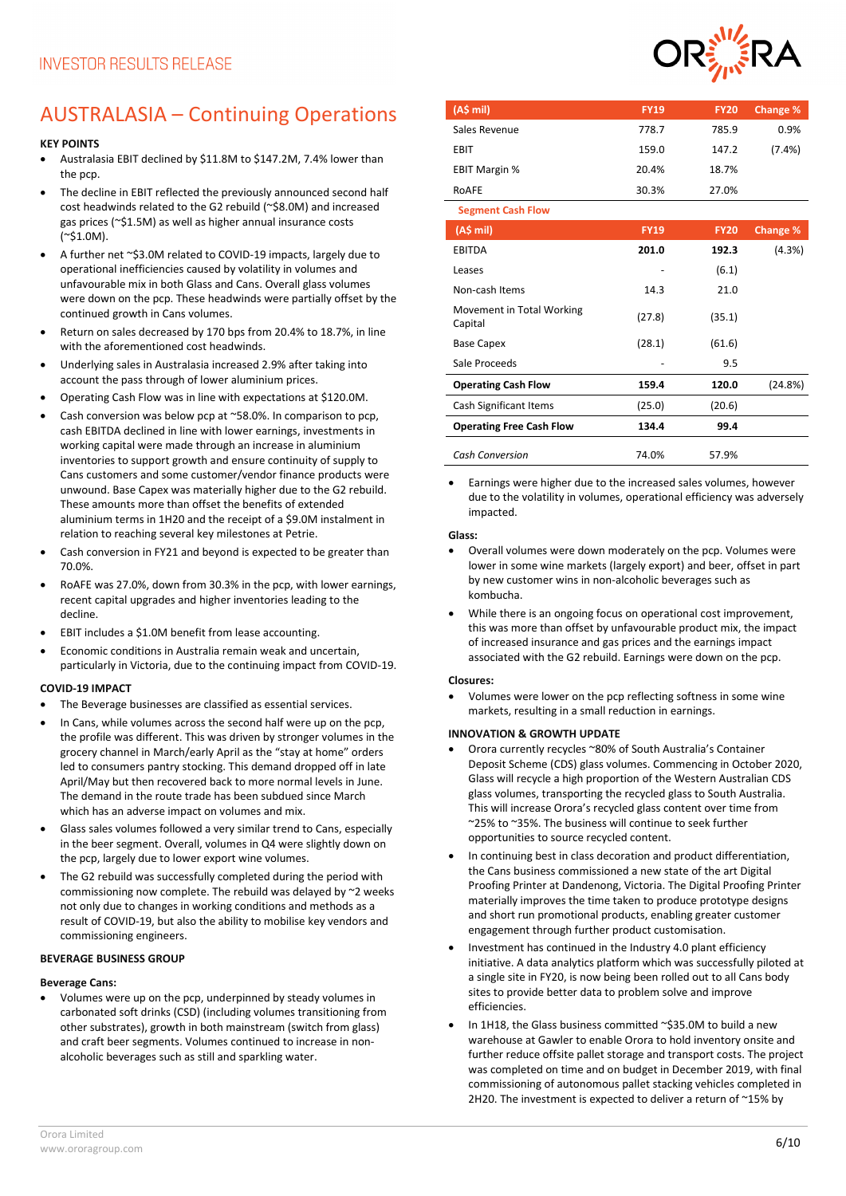# AUSTRALASIA – Continuing Operations

# **KEY POINTS**

- Australasia EBIT declined by \$11.8M to \$147.2M, 7.4% lower than the pcp.
- The decline in EBIT reflected the previously announced second half cost headwinds related to the G2 rebuild (~\$8.0M) and increased gas prices (~\$1.5M) as well as higher annual insurance costs  $(^{\sim}$ \$1.0M).
- A further net ~\$3.0M related to COVID-19 impacts, largely due to operational inefficiencies caused by volatility in volumes and unfavourable mix in both Glass and Cans. Overall glass volumes were down on the pcp. These headwinds were partially offset by the continued growth in Cans volumes.
- Return on sales decreased by 170 bps from 20.4% to 18.7%, in line with the aforementioned cost headwinds.
- Underlying sales in Australasia increased 2.9% after taking into account the pass through of lower aluminium prices.
- Operating Cash Flow was in line with expectations at \$120.0M.
- Cash conversion was below pcp at ~58.0%. In comparison to pcp, cash EBITDA declined in line with lower earnings, investments in working capital were made through an increase in aluminium inventories to support growth and ensure continuity of supply to Cans customers and some customer/vendor finance products were unwound. Base Capex was materially higher due to the G2 rebuild. These amounts more than offset the benefits of extended aluminium terms in 1H20 and the receipt of a \$9.0M instalment in relation to reaching several key milestones at Petrie.
- Cash conversion in FY21 and beyond is expected to be greater than 70.0%.
- RoAFE was 27.0%, down from 30.3% in the pcp, with lower earnings, recent capital upgrades and higher inventories leading to the decline.
- EBIT includes a \$1.0M benefit from lease accounting.
- Economic conditions in Australia remain weak and uncertain, particularly in Victoria, due to the continuing impact from COVID-19.

#### **COVID-19 IMPACT**

- The Beverage businesses are classified as essential services.
- In Cans, while volumes across the second half were up on the pcp, the profile was different. This was driven by stronger volumes in the grocery channel in March/early April as the "stay at home" orders led to consumers pantry stocking. This demand dropped off in late April/May but then recovered back to more normal levels in June. The demand in the route trade has been subdued since March which has an adverse impact on volumes and mix.
- Glass sales volumes followed a very similar trend to Cans, especially in the beer segment. Overall, volumes in Q4 were slightly down on the pcp, largely due to lower export wine volumes.
- The G2 rebuild was successfully completed during the period with commissioning now complete. The rebuild was delayed by ~2 weeks not only due to changes in working conditions and methods as a result of COVID-19, but also the ability to mobilise key vendors and commissioning engineers.

### **BEVERAGE BUSINESS GROUP**

#### **Beverage Cans:**

• Volumes were up on the pcp, underpinned by steady volumes in carbonated soft drinks (CSD) (including volumes transitioning from other substrates), growth in both mainstream (switch from glass) and craft beer segments. Volumes continued to increase in nonalcoholic beverages such as still and sparkling water.



| (A\$ mil)                            | <b>FY19</b> | <b>FY20</b> | Change %  |
|--------------------------------------|-------------|-------------|-----------|
| Sales Revenue                        | 778.7       | 785.9       | 0.9%      |
| <b>EBIT</b>                          | 159.0       | 147.2       | $(7.4\%)$ |
| <b>EBIT Margin %</b>                 | 20.4%       | 18.7%       |           |
| RoAFE                                | 30.3%       | 27.0%       |           |
| <b>Segment Cash Flow</b>             |             |             |           |
| (AS mil)                             | <b>FY19</b> | <b>FY20</b> | Change %  |
| <b>EBITDA</b>                        | 201.0       | 192.3       | (4.3%)    |
| Leases                               |             | (6.1)       |           |
| Non-cash Items                       | 14.3        | 21.0        |           |
| Movement in Total Working<br>Capital | (27.8)      | (35.1)      |           |
| <b>Base Capex</b>                    | (28.1)      | (61.6)      |           |
| Sale Proceeds                        |             | 9.5         |           |
| <b>Operating Cash Flow</b>           | 159.4       | 120.0       | (24.8%)   |
| <b>Cash Significant Items</b>        | (25.0)      | (20.6)      |           |
| <b>Operating Free Cash Flow</b>      | 134.4       | 99.4        |           |
| <b>Cash Conversion</b>               | 74.0%       | 57.9%       |           |

• Earnings were higher due to the increased sales volumes, however due to the volatility in volumes, operational efficiency was adversely impacted.

#### **Glass:**

- Overall volumes were down moderately on the pcp. Volumes were lower in some wine markets (largely export) and beer, offset in part by new customer wins in non-alcoholic beverages such as kombucha.
- While there is an ongoing focus on operational cost improvement, this was more than offset by unfavourable product mix, the impact of increased insurance and gas prices and the earnings impact associated with the G2 rebuild. Earnings were down on the pcp.

#### **Closures:**

• Volumes were lower on the pcp reflecting softness in some wine markets, resulting in a small reduction in earnings.

# **INNOVATION & GROWTH UPDATE**

- Orora currently recycles ~80% of South Australia's Container Deposit Scheme (CDS) glass volumes. Commencing in October 2020, Glass will recycle a high proportion of the Western Australian CDS glass volumes, transporting the recycled glass to South Australia. This will increase Orora's recycled glass content over time from ~25% to ~35%. The business will continue to seek further opportunities to source recycled content.
- In continuing best in class decoration and product differentiation, the Cans business commissioned a new state of the art Digital Proofing Printer at Dandenong, Victoria. The Digital Proofing Printer materially improves the time taken to produce prototype designs and short run promotional products, enabling greater customer engagement through further product customisation.
- Investment has continued in the Industry 4.0 plant efficiency initiative. A data analytics platform which was successfully piloted at a single site in FY20, is now being been rolled out to all Cans body sites to provide better data to problem solve and improve efficiencies.
- In 1H18, the Glass business committed ~\$35.0M to build a new warehouse at Gawler to enable Orora to hold inventory onsite and further reduce offsite pallet storage and transport costs. The project was completed on time and on budget in December 2019, with final commissioning of autonomous pallet stacking vehicles completed in 2H20. The investment is expected to deliver a return of ~15% by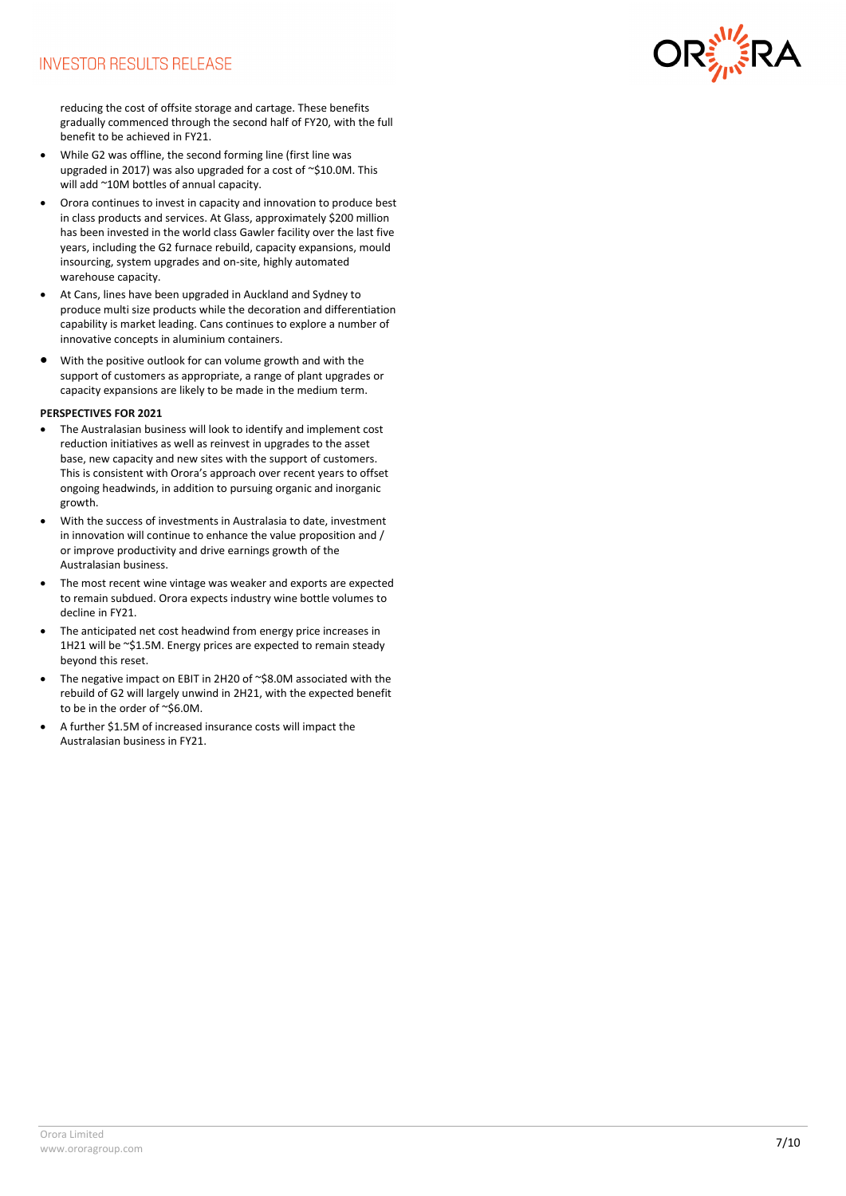

reducing the cost of offsite storage and cartage. These benefits gradually commenced through the second half of FY20, with the full benefit to be achieved in FY21.

- While G2 was offline, the second forming line (first line was upgraded in 2017) was also upgraded for a cost of ~\$10.0M. This will add ~10M bottles of annual capacity.
- Orora continues to invest in capacity and innovation to produce best in class products and services. At Glass, approximately \$200 million has been invested in the world class Gawler facility over the last five years, including the G2 furnace rebuild, capacity expansions, mould insourcing, system upgrades and on-site, highly automated warehouse capacity.
- At Cans, lines have been upgraded in Auckland and Sydney to produce multi size products while the decoration and differentiation capability is market leading. Cans continues to explore a number of innovative concepts in aluminium containers.
- With the positive outlook for can volume growth and with the support of customers as appropriate, a range of plant upgrades or capacity expansions are likely to be made in the medium term.

#### **PERSPECTIVES FOR 2021**

- The Australasian business will look to identify and implement cost reduction initiatives as well as reinvest in upgrades to the asset base, new capacity and new sites with the support of customers. This is consistent with Orora's approach over recent years to offset ongoing headwinds, in addition to pursuing organic and inorganic growth.
- With the success of investments in Australasia to date, investment in innovation will continue to enhance the value proposition and / or improve productivity and drive earnings growth of the Australasian business.
- The most recent wine vintage was weaker and exports are expected to remain subdued. Orora expects industry wine bottle volumes to decline in FY21.
- The anticipated net cost headwind from energy price increases in 1H21 will be ~\$1.5M. Energy prices are expected to remain steady beyond this reset.
- The negative impact on EBIT in 2H20 of ~\$8.0M associated with the rebuild of G2 will largely unwind in 2H21, with the expected benefit to be in the order of ~\$6.0M.
- A further \$1.5M of increased insurance costs will impact the Australasian business in FY21.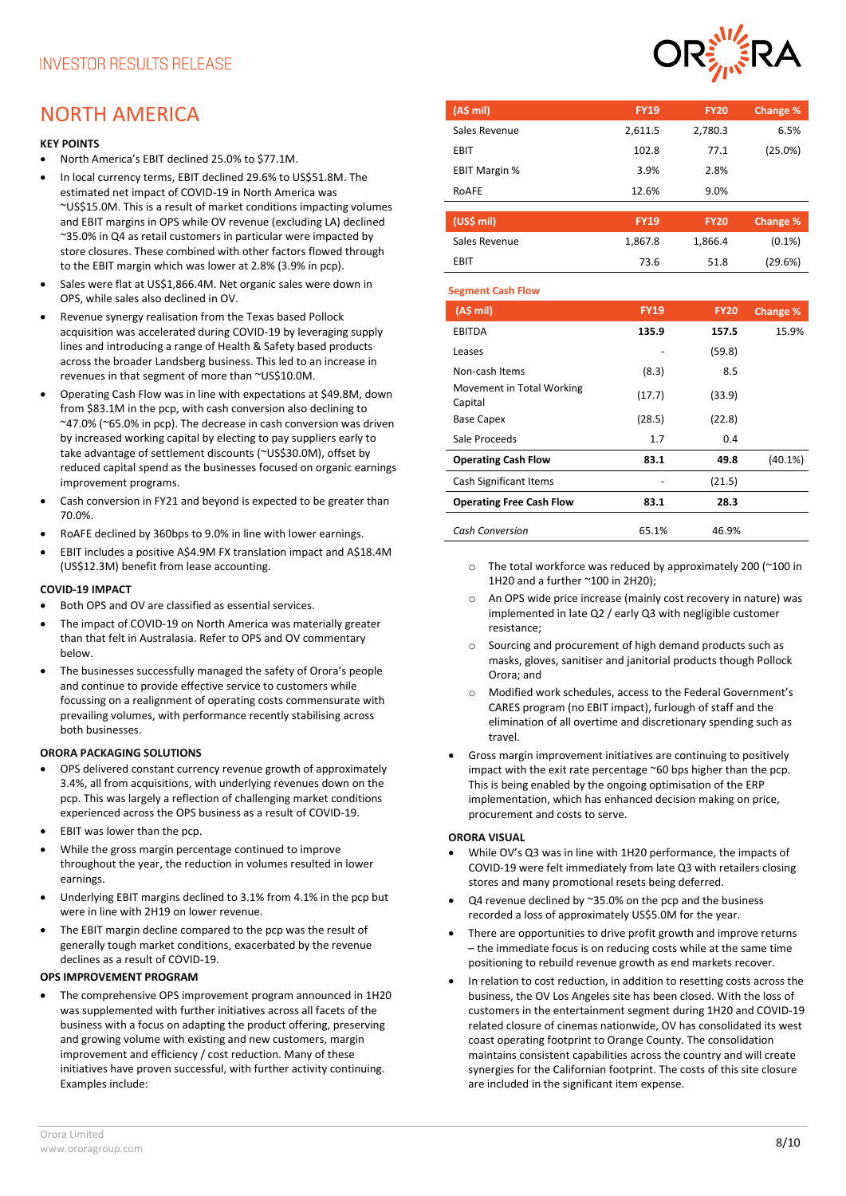# NORTH AMERICA

# **KEY POINTS**

- North America's EBIT declined 25.0% to \$77.1M.
- In local currency terms, EBIT declined 29.6% to US\$51.8M. The estimated net impact of COVID-19 in North America was ~US\$15.0M. This is a result of market conditions impacting volumes and EBIT margins in OPS while OV revenue (excluding LA) declined ~35.0% in Q4 as retail customers in particular were impacted by store closures. These combined with other factors flowed through to the EBIT margin which was lower at 2.8% (3.9% in pcp).
- Sales were flat at US\$1,866,4M. Net organic sales were down in OPS, while sales also declined in OV.
- Revenue synergy realisation from the Texas based Pollock acquisition was accelerated during COVID-19 by leveraging supply lines and introducing a range of Health & Safety based products across the broader Landsberg business. This led to an increase in revenues in that segment of more than ~US\$10.0M.
- Operating Cash Flow was in line with expectations at \$49.8M, down from \$83.1M in the pcp, with cash conversion also declining to ~47.0% (~65.0% in pcp). The decrease in cash conversion was driven by increased working capital by electing to pay suppliers early to take advantage of settlement discounts (~US\$30.0M), offset by reduced capital spend as the businesses focused on organic earnings improvement programs.
- Cash conversion in FY21 and beyond is expected to be greater than 70.0%.
- RoAFE declined by 360bps to 9.0% in line with lower earnings.
- EBIT includes a positive A\$4.9M FX translation impact and A\$18.4M (US\$12.3M) benefit from lease accounting.

# **COVID-19 IMPACT**

- Both OPS and OV are classified as essential services.
- The impact of COVID-19 on North America was materially greater than that felt in Australasia. Refer to OPS and OV commentary below.
- The businesses successfully managed the safety of Orora's people and continue to provide effective service to customers while focussing on a realignment of operating costs commensurate with prevailing volumes, with performance recently stabilising across both businesses.

# **ORORA PACKAGING SOLUTIONS**

- OPS delivered constant currency revenue growth of approximately 3.4%, all from acquisitions, with underlying revenues down on the pcp. This was largely a reflection of challenging market conditions experienced across the OPS business as a result of COVID-19.
- EBIT was lower than the pcp.
- While the gross margin percentage continued to improve throughout the year, the reduction in volumes resulted in lower earnings.
- Underlying EBIT margins declined to 3.1% from 4.1% in the pcp but were in line with 2H19 on lower revenue.
- The EBIT margin decline compared to the pcp was the result of generally tough market conditions, exacerbated by the revenue declines as a result of COVID-19.

# **OPS IMPROVEMENT PROGRAM**

• The comprehensive OPS improvement program announced in 1H20 was supplemented with further initiatives across all facets of the business with a focus on adapting the product offering, preserving and growing volume with existing and new customers, margin improvement and efficiency / cost reduction. Many of these initiatives have proven successful, with further activity continuing. Examples include:



| (AS mil)              | <b>FY19</b> | <b>FY20</b> | Change % |
|-----------------------|-------------|-------------|----------|
| Sales Revenue         | 2,611.5     | 2,780.3     | 6.5%     |
| EBIT                  | 102.8       | 77.1        | (25.0%)  |
| <b>EBIT Margin %</b>  | 3.9%        | 2.8%        |          |
| ROAFE                 | 12.6%       | 9.0%        |          |
|                       |             |             |          |
| (US <sub>5</sub> mil) | <b>FY19</b> | <b>FY20</b> | Change % |

| Sales Revenue | 1,867.8 | 1,866.4 | $(0.1\%)$ |
|---------------|---------|---------|-----------|
| EBIT          | 73.6    | 51.8    | (29.6%)   |
|               |         |         |           |

#### **Segment Cash Flow**

| (A\$ mi)                             | <b>FY19</b> | <b>FY20</b> | Change % |
|--------------------------------------|-------------|-------------|----------|
| <b>EBITDA</b>                        | 135.9       | 157.5       | 15.9%    |
| Leases                               |             | (59.8)      |          |
| Non-cash Items                       | (8.3)       | 8.5         |          |
| Movement in Total Working<br>Capital | (17.7)      | (33.9)      |          |
| <b>Base Capex</b>                    | (28.5)      | (22.8)      |          |
| Sale Proceeds                        | 1.7         | 0.4         |          |
| <b>Operating Cash Flow</b>           | 83.1        | 49.8        | (40.1%)  |
| Cash Significant Items               |             | (21.5)      |          |
| <b>Operating Free Cash Flow</b>      | 83.1        | 28.3        |          |
| <b>Cash Conversion</b>               | 65.1%       | 46.9%       |          |

- o The total workforce was reduced by approximately 200 (~100 in 1H20 and a further ~100 in 2H20);
- o An OPS wide price increase (mainly cost recovery in nature) was implemented in late Q2 / early Q3 with negligible customer resistance;
- o Sourcing and procurement of high demand products such as masks, gloves, sanitiser and janitorial products though Pollock Orora; and
- o Modified work schedules, access to the Federal Government's CARES program (no EBIT impact), furlough of staff and the elimination of all overtime and discretionary spending such as travel.
- Gross margin improvement initiatives are continuing to positively impact with the exit rate percentage ~60 bps higher than the pcp. This is being enabled by the ongoing optimisation of the ERP implementation, which has enhanced decision making on price, procurement and costs to serve.

# **ORORA VISUAL**

- While OV's Q3 was in line with 1H20 performance, the impacts of COVID-19 were felt immediately from late Q3 with retailers closing stores and many promotional resets being deferred.
- $Q4$  revenue declined by  $\approx$ 35.0% on the pcp and the business recorded a loss of approximately US\$5.0M for the year.
- There are opportunities to drive profit growth and improve returns – the immediate focus is on reducing costs while at the same time positioning to rebuild revenue growth as end markets recover.
- In relation to cost reduction, in addition to resetting costs across the business, the OV Los Angeles site has been closed. With the loss of customers in the entertainment segment during 1H20 and COVID-19 related closure of cinemas nationwide, OV has consolidated its west coast operating footprint to Orange County. The consolidation maintains consistent capabilities across the country and will create synergies for the Californian footprint. The costs of this site closure are included in the significant item expense.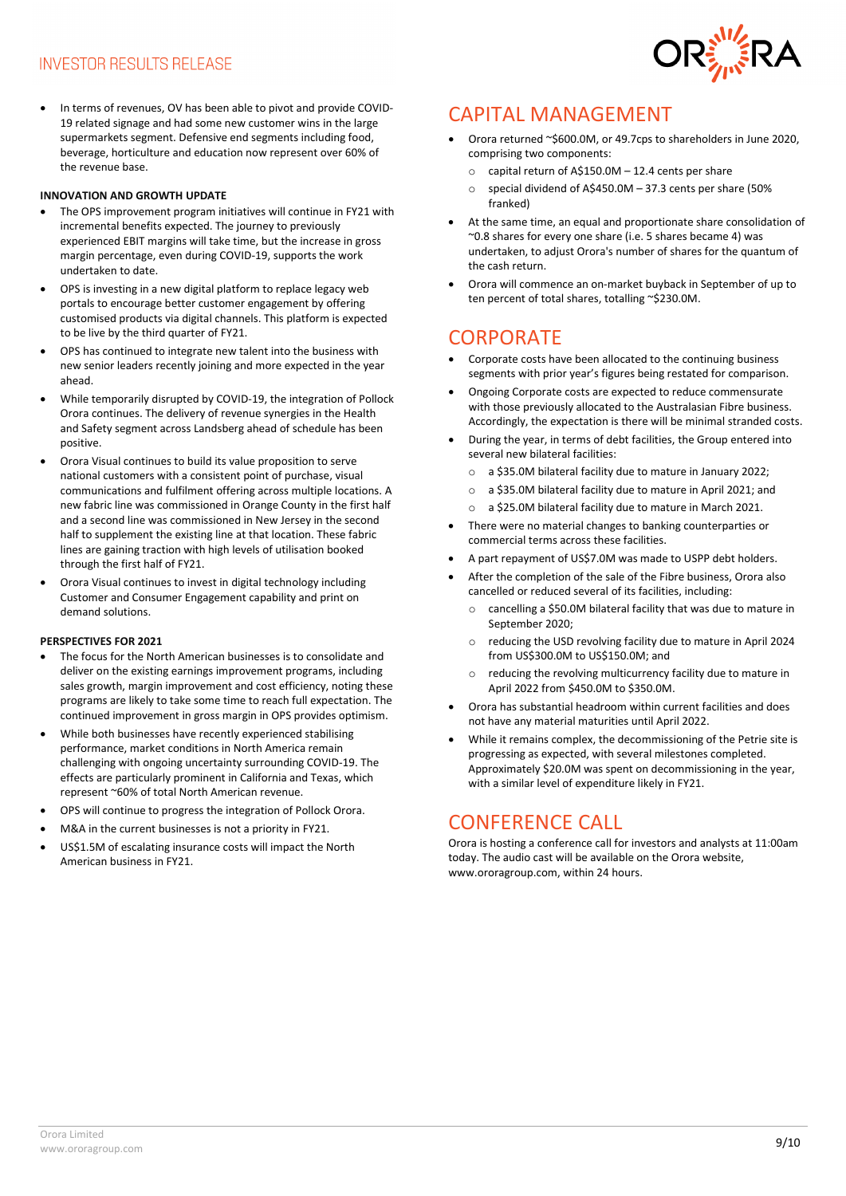• In terms of revenues, OV has been able to pivot and provide COVID-19 related signage and had some new customer wins in the large supermarkets segment. Defensive end segments including food, beverage, horticulture and education now represent over 60% of the revenue base.

# **INNOVATION AND GROWTH UPDATE**

- The OPS improvement program initiatives will continue in FY21 with incremental benefits expected. The journey to previously experienced EBIT margins will take time, but the increase in gross margin percentage, even during COVID-19, supports the work undertaken to date.
- OPS is investing in a new digital platform to replace legacy web portals to encourage better customer engagement by offering customised products via digital channels. This platform is expected to be live by the third quarter of FY21.
- OPS has continued to integrate new talent into the business with new senior leaders recently joining and more expected in the year ahead.
- While temporarily disrupted by COVID-19, the integration of Pollock Orora continues. The delivery of revenue synergies in the Health and Safety segment across Landsberg ahead of schedule has been positive.
- Orora Visual continues to build its value proposition to serve national customers with a consistent point of purchase, visual communications and fulfilment offering across multiple locations. A new fabric line was commissioned in Orange County in the first half and a second line was commissioned in New Jersey in the second half to supplement the existing line at that location. These fabric lines are gaining traction with high levels of utilisation booked through the first half of FY21.
- Orora Visual continues to invest in digital technology including Customer and Consumer Engagement capability and print on demand solutions.

#### **PERSPECTIVES FOR 2021**

- The focus for the North American businesses is to consolidate and deliver on the existing earnings improvement programs, including sales growth, margin improvement and cost efficiency, noting these programs are likely to take some time to reach full expectation. The continued improvement in gross margin in OPS provides optimism.
- While both businesses have recently experienced stabilising performance, market conditions in North America remain challenging with ongoing uncertainty surrounding COVID-19. The effects are particularly prominent in California and Texas, which represent ~60% of total North American revenue.
- OPS will continue to progress the integration of Pollock Orora.
- M&A in the current businesses is not a priority in FY21.
- US\$1.5M of escalating insurance costs will impact the North American business in FY21.



# CAPITAL MANAGEMENT

- Orora returned ~\$600.0M, or 49.7cps to shareholders in June 2020, comprising two components:
	- o capital return of A\$150.0M 12.4 cents per share
	- o special dividend of A\$450.0M 37.3 cents per share (50% franked)
- At the same time, an equal and proportionate share consolidation of ~0.8 shares for every one share (i.e. 5 shares became 4) was undertaken, to adjust Orora's number of shares for the quantum of the cash return.
- Orora will commence an on-market buyback in September of up to ten percent of total shares, totalling ~\$230.0M.

# **CORPORATE**

- Corporate costs have been allocated to the continuing business segments with prior year's figures being restated for comparison.
- Ongoing Corporate costs are expected to reduce commensurate with those previously allocated to the Australasian Fibre business. Accordingly, the expectation is there will be minimal stranded costs.
- During the year, in terms of debt facilities, the Group entered into several new bilateral facilities:
	- o a \$35.0M bilateral facility due to mature in January 2022;
	- o a \$35.0M bilateral facility due to mature in April 2021; and
	- o a \$25.0M bilateral facility due to mature in March 2021.
- There were no material changes to banking counterparties or commercial terms across these facilities.
- A part repayment of US\$7.0M was made to USPP debt holders.
- After the completion of the sale of the Fibre business, Orora also cancelled or reduced several of its facilities, including:
	- o cancelling a \$50.0M bilateral facility that was due to mature in September 2020;
	- o reducing the USD revolving facility due to mature in April 2024 from US\$300.0M to US\$150.0M; and
	- o reducing the revolving multicurrency facility due to mature in April 2022 from \$450.0M to \$350.0M.
- Orora has substantial headroom within current facilities and does not have any material maturities until April 2022.
- While it remains complex, the decommissioning of the Petrie site is progressing as expected, with several milestones completed. Approximately \$20.0M was spent on decommissioning in the year, with a similar level of expenditure likely in FY21.

# CONFERENCE CALL

Orora is hosting a conference call for investors and analysts at 11:00am today. The audio cast will be available on the Orora website, [www.ororagroup.com,](http://www.ororagroup.com/) within 24 hours.